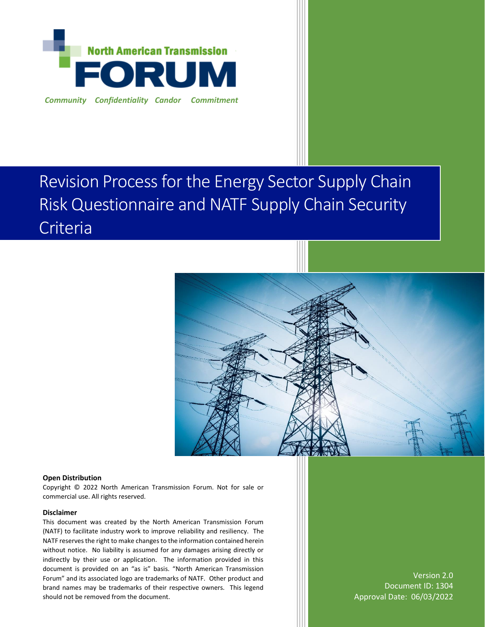

# Revision Process for the Energy Sector Supply Chain Risk Questionnaire and NATF Supply Chain Security Criteria



#### **Open Distribution**

Copyright © 2022 North American Transmission Forum. Not for sale or commercial use. All rights reserved.

#### **Disclaimer**

This document was created by the North American Transmission Forum (NATF) to facilitate industry work to improve reliability and resiliency. The NATF reserves the right to make changes to the information contained herein without notice. No liability is assumed for any damages arising directly or indirectly by their use or application. The information provided in this document is provided on an "as is" basis. "North American Transmission Forum" and its associated logo are trademarks of NATF. Other product and brand names may be trademarks of their respective owners. This legend should not be removed from the document.

Version 2.0 Document ID: 1304 Approval Date: 06/03/2022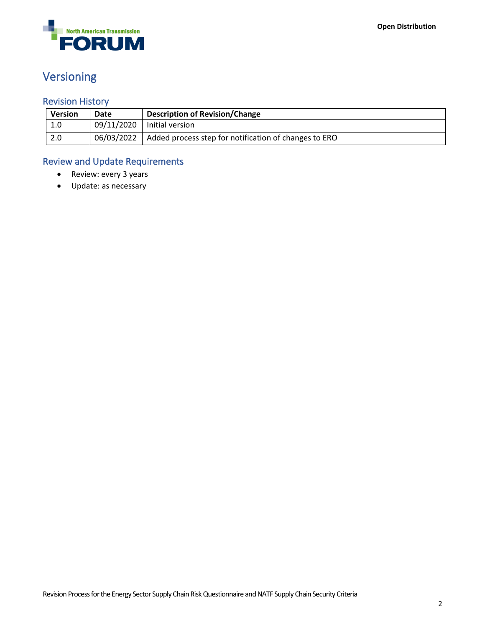

# <span id="page-1-0"></span>Versioning

### <span id="page-1-1"></span>Revision History

| <b>Version</b> | Date       | <b>Description of Revision/Change</b>                 |
|----------------|------------|-------------------------------------------------------|
| 1.0            | 09/11/2020 | l Initial version                                     |
| 2.0            | 06/03/2022 | Added process step for notification of changes to ERO |

### <span id="page-1-2"></span>Review and Update Requirements

- Review: every 3 years
- Update: as necessary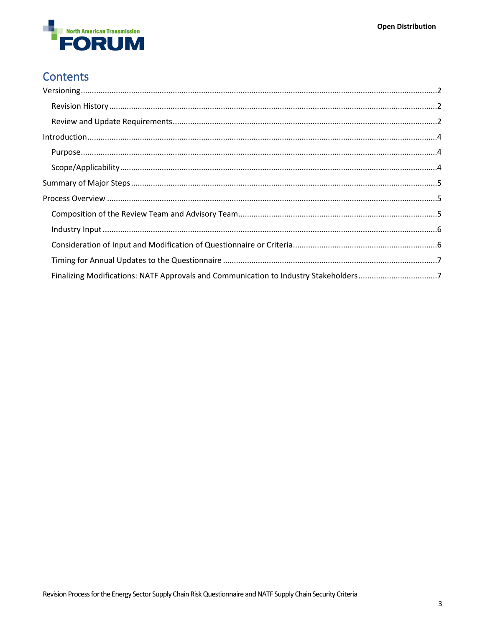

## **Contents**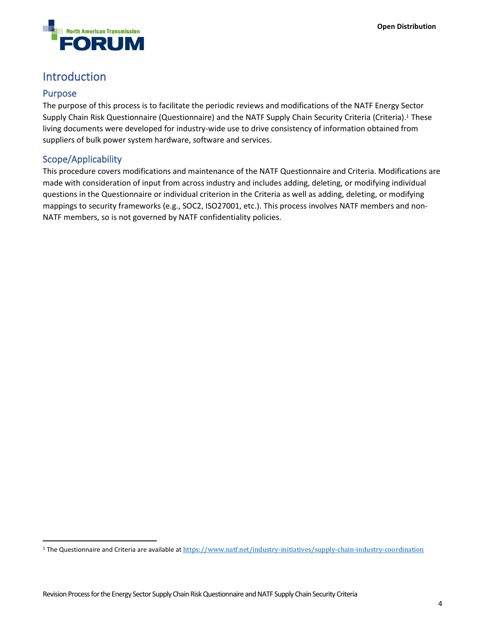

### <span id="page-3-0"></span>Introduction

#### <span id="page-3-1"></span>Purpose

The purpose of this process is to facilitate the periodic reviews and modifications of the NATF Energy Sector Supply Chain Risk Questionnaire (Questionnaire) and the NATF Supply Chain Security Criteria (Criteria).<sup>1</sup> These living documents were developed for industry-wide use to drive consistency of information obtained from suppliers of bulk power system hardware, software and services.

#### <span id="page-3-2"></span>Scope/Applicability

This procedure covers modifications and maintenance of the NATF Questionnaire and Criteria. Modifications are made with consideration of input from across industry and includes adding, deleting, or modifying individual questions in the Questionnaire or individual criterion in the Criteria as well as adding, deleting, or modifying mappings to security frameworks (e.g., SOC2, ISO27001, etc.). This process involves NATF members and non-NATF members, so is not governed by NATF confidentiality policies.

<sup>&</sup>lt;sup>1</sup> The Questionnaire and Criteria are available at <https://www.natf.net/industry-initiatives/supply-chain-industry-coordination>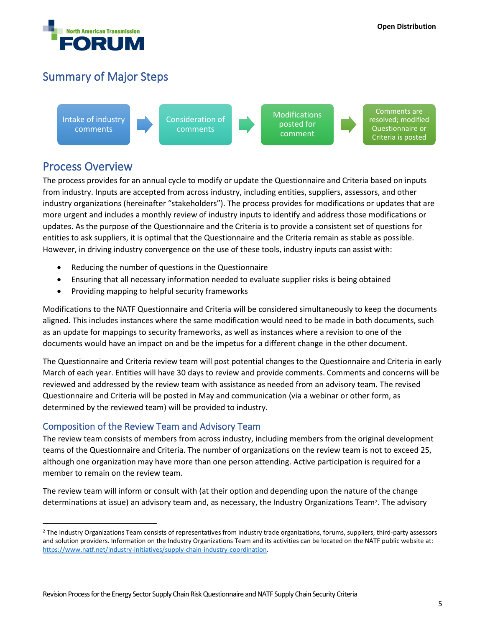

### <span id="page-4-0"></span>Summary of Major Steps

Intake of industry comments

Consideration of comments

**Modifications** posted for comment

Comments are resolved; modified Questionnaire or Criteria is posted

### <span id="page-4-1"></span>Process Overview

The process provides for an annual cycle to modify or update the Questionnaire and Criteria based on inputs from industry. Inputs are accepted from across industry, including entities, suppliers, assessors, and other industry organizations (hereinafter "stakeholders"). The process provides for modifications or updates that are more urgent and includes a monthly review of industry inputs to identify and address those modifications or updates. As the purpose of the Questionnaire and the Criteria is to provide a consistent set of questions for entities to ask suppliers, it is optimal that the Questionnaire and the Criteria remain as stable as possible. However, in driving industry convergence on the use of these tools, industry inputs can assist with:

- Reducing the number of questions in the Questionnaire
- Ensuring that all necessary information needed to evaluate supplier risks is being obtained
- Providing mapping to helpful security frameworks

Modifications to the NATF Questionnaire and Criteria will be considered simultaneously to keep the documents aligned. This includes instances where the same modification would need to be made in both documents, such as an update for mappings to security frameworks, as well as instances where a revision to one of the documents would have an impact on and be the impetus for a different change in the other document.

The Questionnaire and Criteria review team will post potential changes to the Questionnaire and Criteria in early March of each year. Entities will have 30 days to review and provide comments. Comments and concerns will be reviewed and addressed by the review team with assistance as needed from an advisory team. The revised Questionnaire and Criteria will be posted in May and communication (via a webinar or other form, as determined by the reviewed team) will be provided to industry.

#### <span id="page-4-2"></span>Composition of the Review Team and Advisory Team

The review team consists of members from across industry, including members from the original development teams of the Questionnaire and Criteria. The number of organizations on the review team is not to exceed 25, although one organization may have more than one person attending. Active participation is required for a member to remain on the review team.

The review team will inform or consult with (at their option and depending upon the nature of the change determinations at issue) an advisory team and, as necessary, the Industry Organizations Team2. The advisory

<sup>&</sup>lt;sup>2</sup> The Industry Organizations Team consists of representatives from industry trade organizations, forums, suppliers, third-party assessors and solution providers. Information on the Industry Organizations Team and its activities can be located on the NATF public website at: [https://www.natf.net/industry-initiatives/supply-chain-industry-coordination.](https://www.natf.net/industry-initiatives/supply-chain-industry-coordination)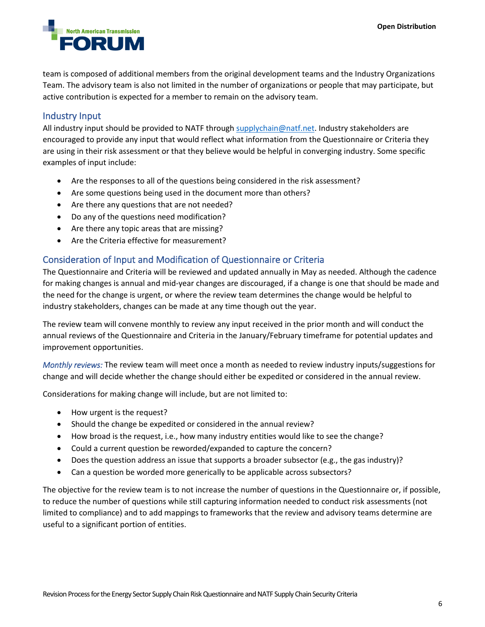

team is composed of additional members from the original development teams and the Industry Organizations Team. The advisory team is also not limited in the number of organizations or people that may participate, but active contribution is expected for a member to remain on the advisory team.

#### <span id="page-5-0"></span>Industry Input

All industry input should be provided to NATF through [supplychain@natf.net.](mailto:supplychain@natf.net) Industry stakeholders are encouraged to provide any input that would reflect what information from the Questionnaire or Criteria they are using in their risk assessment or that they believe would be helpful in converging industry. Some specific examples of input include:

- Are the responses to all of the questions being considered in the risk assessment?
- Are some questions being used in the document more than others?
- Are there any questions that are not needed?
- Do any of the questions need modification?
- Are there any topic areas that are missing?
- Are the Criteria effective for measurement?

#### <span id="page-5-1"></span>Consideration of Input and Modification of Questionnaire or Criteria

The Questionnaire and Criteria will be reviewed and updated annually in May as needed. Although the cadence for making changes is annual and mid-year changes are discouraged, if a change is one that should be made and the need for the change is urgent, or where the review team determines the change would be helpful to industry stakeholders, changes can be made at any time though out the year.

The review team will convene monthly to review any input received in the prior month and will conduct the annual reviews of the Questionnaire and Criteria in the January/February timeframe for potential updates and improvement opportunities.

*Monthly reviews:* The review team will meet once a month as needed to review industry inputs/suggestions for change and will decide whether the change should either be expedited or considered in the annual review.

Considerations for making change will include, but are not limited to:

- How urgent is the request?
- Should the change be expedited or considered in the annual review?
- How broad is the request, i.e., how many industry entities would like to see the change?
- Could a current question be reworded/expanded to capture the concern?
- Does the question address an issue that supports a broader subsector (e.g., the gas industry)?
- Can a question be worded more generically to be applicable across subsectors?

The objective for the review team is to not increase the number of questions in the Questionnaire or, if possible, to reduce the number of questions while still capturing information needed to conduct risk assessments (not limited to compliance) and to add mappings to frameworks that the review and advisory teams determine are useful to a significant portion of entities.